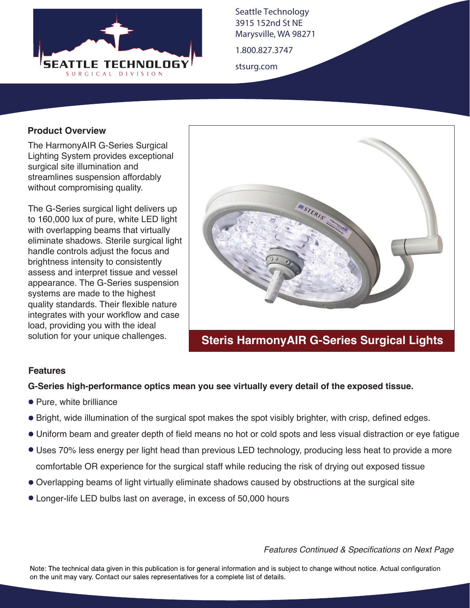

Seattle Technology 3915 152nd St NE Marysville, WA 98271

1.800.827.3747

stsurg.com

### **Product Overview**

The HarmonyAIR G-Series Surgical Lighting System provides exceptional surgical site illumination and streamlines suspension affordably without compromising quality.

The G-Series surgical light delivers up to 160,000 lux of pure, white LED light with overlapping beams that virtually eliminate shadows. Sterile surgical light handle controls adjust the focus and brightness intensity to consistently assess and interpret tissue and vessel appearance. The G-Series suspension systems are made to the highest quality standards. Their flexible nature integrates with your workflow and case load, providing you with the ideal solution for your unique challenges.



# **Steris HarmonyAIR G-Series Surgical Lights**

### **Features**

### **G-Series high-performance optics mean you see virtually every detail of the exposed tissue.**

- Pure, white brilliance
- Bright, wide illumination of the surgical spot makes the spot visibly brighter, with crisp, defined edges.
- Uniform beam and greater depth of field means no hot or cold spots and less visual distraction or eye fatigue
- Uses 70% less energy per light head than previous LED technology, producing less heat to provide a more comfortable OR experience for the surgical staff while reducing the risk of drying out exposed tissue
- Overlapping beams of light virtually eliminate shadows caused by obstructions at the surgical site
- Longer-life LED bulbs last on average, in excess of 50,000 hours

*Features Continued & Specifications on Next Page*

Note: The technical data given in this publication is for general information and is subject to change without notice. Actual configuration on the unit may vary. Contact our sales representatives for a complete list of details.